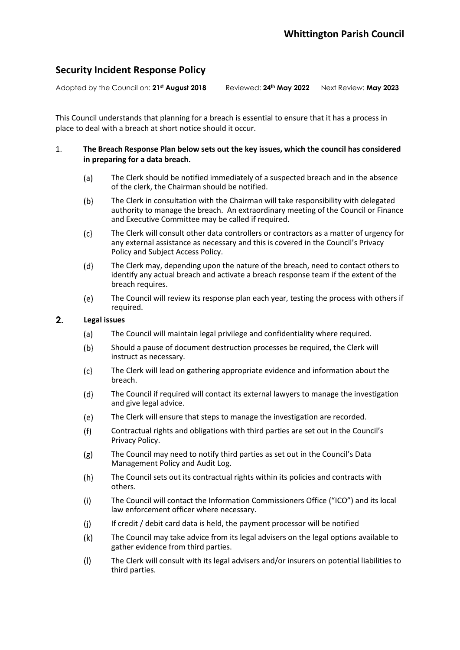# **Security Incident Response Policy**

Adopted by the Council on: **21st August 2018** Reviewed: **24 th May 2022** Next Review: **May 2023**

This Council understands that planning for a breach is essential to ensure that it has a process in place to deal with a breach at short notice should it occur.

### 1. **The Breach Response Plan below sets out the key issues, which the council has considered in preparing for a data breach.**

- $(a)$ The Clerk should be notified immediately of a suspected breach and in the absence of the clerk, the Chairman should be notified.
- $(b)$ The Clerk in consultation with the Chairman will take responsibility with delegated authority to manage the breach. An extraordinary meeting of the Council or Finance and Executive Committee may be called if required.
- $(c)$ The Clerk will consult other data controllers or contractors as a matter of urgency for any external assistance as necessary and this is covered in the Council's Privacy Policy and Subject Access Policy.
- $(d)$ The Clerk may, depending upon the nature of the breach, need to contact others to identify any actual breach and activate a breach response team if the extent of the breach requires.
- $(e)$ The Council will review its response plan each year, testing the process with others if required.

#### $2.$ **Legal issues**

- $(a)$ The Council will maintain legal privilege and confidentiality where required.
- $(b)$ Should a pause of document destruction processes be required, the Clerk will instruct as necessary.
- $(c)$ The Clerk will lead on gathering appropriate evidence and information about the breach.
- $(d)$ The Council if required will contact its external lawyers to manage the investigation and give legal advice.
- $(e)$ The Clerk will ensure that steps to manage the investigation are recorded.
- Contractual rights and obligations with third parties are set out in the Council's  $(f)$ Privacy Policy.
- The Council may need to notify third parties as set out in the Council's Data  $(g)$ Management Policy and Audit Log.
- The Council sets out its contractual rights within its policies and contracts with  $(h)$ others.
- The Council will contact the Information Commissioners Office ("ICO") and its local  $(i)$ law enforcement officer where necessary.
- If credit / debit card data is held, the payment processor will be notified  $(i)$
- $(k)$ The Council may take advice from its legal advisers on the legal options available to gather evidence from third parties.
- The Clerk will consult with its legal advisers and/or insurers on potential liabilities to  $(1)$ third parties.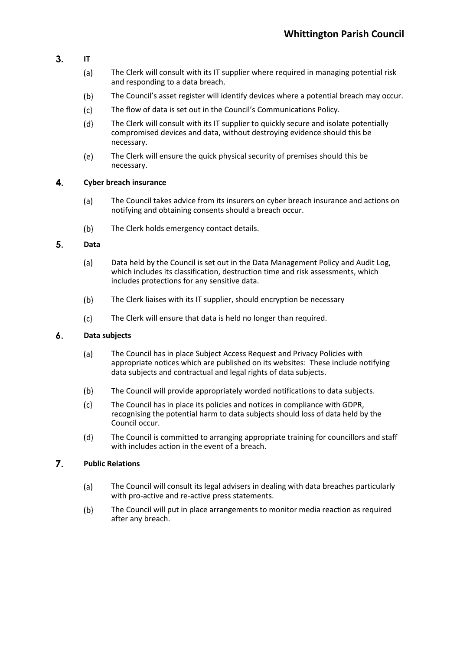- $3.$ **IT**
	- The Clerk will consult with its IT supplier where required in managing potential risk  $(a)$ and responding to a data breach.
	- $(b)$ The Council's asset register will identify devices where a potential breach may occur.
	- $(c)$ The flow of data is set out in the Council's Communications Policy.
	- $(d)$ The Clerk will consult with its IT supplier to quickly secure and isolate potentially compromised devices and data, without destroying evidence should this be necessary.
	- $(e)$ The Clerk will ensure the quick physical security of premises should this be necessary.

#### $\overline{\mathbf{4}}$ . **Cyber breach insurance**

- The Council takes advice from its insurers on cyber breach insurance and actions on  $(a)$ notifying and obtaining consents should a breach occur.
- $(b)$ The Clerk holds emergency contact details.

#### 5. **Data**

- $(a)$ Data held by the Council is set out in the Data Management Policy and Audit Log, which includes its classification, destruction time and risk assessments, which includes protections for any sensitive data.
- The Clerk liaises with its IT supplier, should encryption be necessary  $(b)$
- $(c)$ The Clerk will ensure that data is held no longer than required.

#### $\mathbf{6}$ . **Data subjects**

- $(a)$ The Council has in place Subject Access Request and Privacy Policies with appropriate notices which are published on its websites: These include notifying data subjects and contractual and legal rights of data subjects.
- $(b)$ The Council will provide appropriately worded notifications to data subjects.
- $(c)$ The Council has in place its policies and notices in compliance with GDPR, recognising the potential harm to data subjects should loss of data held by the Council occur.
- $(d)$ The Council is committed to arranging appropriate training for councillors and staff with includes action in the event of a breach.

#### $\overline{7}$ . **Public Relations**

- The Council will consult its legal advisers in dealing with data breaches particularly  $(a)$ with pro-active and re-active press statements.
- $(b)$ The Council will put in place arrangements to monitor media reaction as required after any breach.